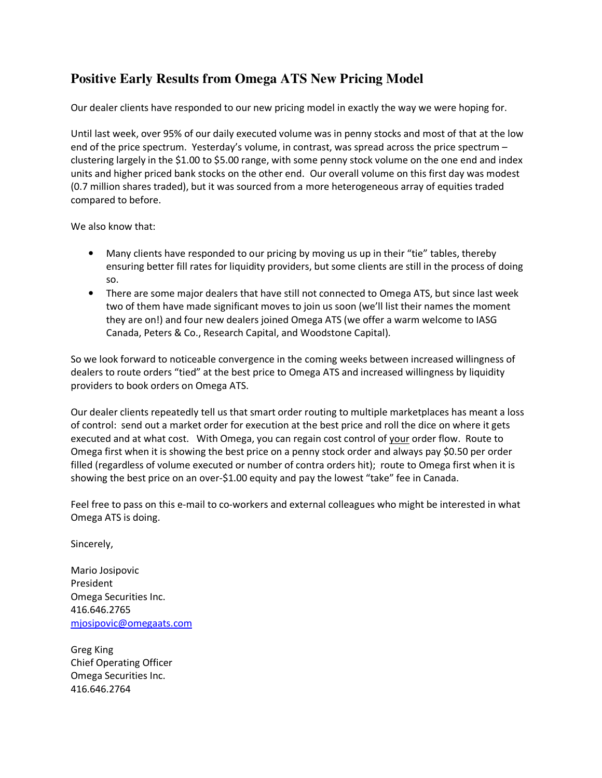## **Positive Early Results from Omega ATS New Pricing Model**

Our dealer clients have responded to our new pricing model in exactly the way we were hoping for.

Until last week, over 95% of our daily executed volume was in penny stocks and most of that at the low end of the price spectrum. Yesterday's volume, in contrast, was spread across the price spectrum – clustering largely in the \$1.00 to \$5.00 range, with some penny stock volume on the one end and index units and higher priced bank stocks on the other end. Our overall volume on this first day was modest (0.7 million shares traded), but it was sourced from a more heterogeneous array of equities traded compared to before.

We also know that:

- Many clients have responded to our pricing by moving us up in their "tie" tables, thereby ensuring better fill rates for liquidity providers, but some clients are still in the process of doing so.
- There are some major dealers that have still not connected to Omega ATS, but since last week two of them have made significant moves to join us soon (we'll list their names the moment they are on!) and four new dealers joined Omega ATS (we offer a warm welcome to IASG Canada, Peters & Co., Research Capital, and Woodstone Capital).

So we look forward to noticeable convergence in the coming weeks between increased willingness of dealers to route orders "tied" at the best price to Omega ATS and increased willingness by liquidity providers to book orders on Omega ATS.

Our dealer clients repeatedly tell us that smart order routing to multiple marketplaces has meant a loss of control: send out a market order for execution at the best price and roll the dice on where it gets executed and at what cost. With Omega, you can regain cost control of your order flow. Route to Omega first when it is showing the best price on a penny stock order and always pay \$0.50 per order filled (regardless of volume executed or number of contra orders hit); route to Omega first when it is showing the best price on an over-\$1.00 equity and pay the lowest "take" fee in Canada.

Feel free to pass on this e-mail to co-workers and external colleagues who might be interested in what Omega ATS is doing.

Sincerely,

Mario Josipovic President Omega Securities Inc. 416.646.2765 mjosipovic@omegaats.com

Greg King Chief Operating Officer Omega Securities Inc. 416.646.2764